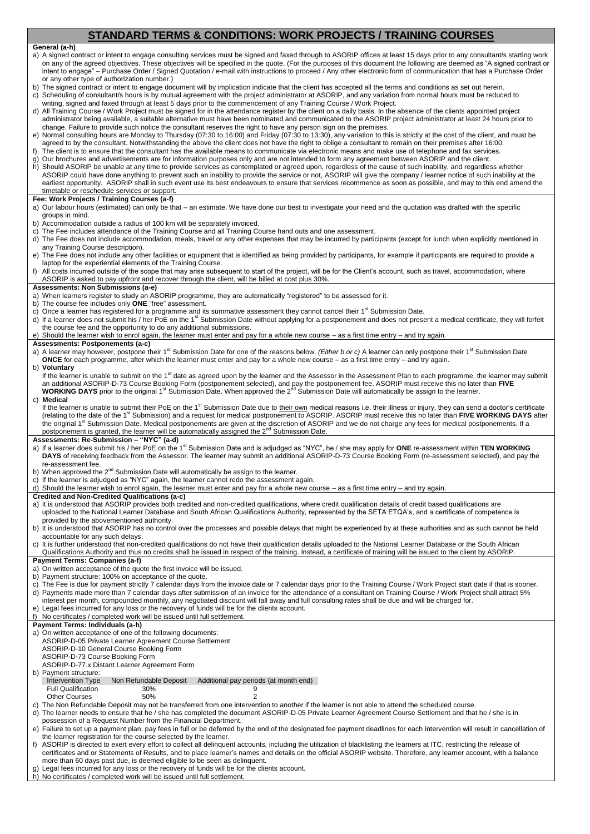# **STANDARD TERMS & CONDITIONS: WORK PROJECTS / TRAINING COURSES**

### **General (a-h)**

- a) A signed contract or intent to engage consulting services must be signed and faxed through to ASORIP offices at least 15 days prior to any consultant/s starting work on any of the agreed objectives. These objectives will be specified in the quote. (For the purposes of this document the following are deemed as "A signed contract or intent to engage" – Purchase Order / Signed Quotation / e-mail with instructions to proceed / Any other electronic form of communication that has a Purchase Order or any other type of authorization number.)
- The signed contract or intent to engage document will by implication indicate that the client has accepted all the terms and conditions as set out herein. c) Scheduling of consultant/s hours is by mutual agreement with the project administrator at ASORIP, and any variation from normal hours must be reduced to

writing, signed and faxed through at least 5 days prior to the commencement of any Training Course / Work Project.

d) All Training Course / Work Project must be signed for in the attendance register by the client on a daily basis. In the absence of the clients appointed project administrator being available, a suitable alternative must have been nominated and communicated to the ASORIP project administrator at least 24 hours prior to change. Failure to provide such notice the consultant reserves the right to have any person sign on the premises.

- e) Normal consulting hours are Monday to Thursday (07:30 to 16:00) and Friday (07:30 to 13:30), any variation to this is strictly at the cost of the client, and must be agreed to by the consultant. Notwithstanding the above the client does not have the right to oblige a consultant to remain on their premises after 16:00. f) The client is to ensure that the consultant has the available means to communicate via electronic means and make use of telephone and fax services.
- g) Our brochures and advertisements are for information purposes only and are not intended to form any agreement between ASORIP and the client.
- h) Should ASORIP be unable at any time to provide services as contemplated or agreed upon, regardless of the cause of such inability, and regardless whether ASORIP could have done anything to prevent such an inability to provide the service or not, ASORIP will give the company / learner notice of such inability at the earliest opportunity. ASORIP shall in such event use its best endeavours to ensure that services recommence as soon as possible, and may to this end amend the timetable or reschedule services or support.

## **Fee: Work Projects / Training Courses (a-f)**

- a) Our labour hours (estimated) can only be that an estimate. We have done our best to investigate your need and the quotation was drafted with the specific groups in mind.
- b) Accommodation outside a radius of 100 km will be separately invoiced.
- c) The Fee includes attendance of the Training Course and all Training Course hand outs and one assessment.
- d) The Fee does not include accommodation, meals, travel or any other expenses that may be incurred by participants (except for lunch when explicitly mentioned in any Training Course description).
- e) The Fee does not include any other facilities or equipment that is identified as being provided by participants, for example if participants are required to provide a laptop for the experiential elements of the Training Course.
- f) All costs incurred outside of the scope that may arise subsequent to start of the project, will be for the Client's account, such as travel, accommodation, where ASORIP is asked to pay upfront and recover through the client, will be billed at cost plus 30%.

### **Assessments: Non Submissions (a-e)**

- a) When learners register to study an ASORIP programme, they are automatically "registered" to be assessed for it.
- b) The course fee includes only **ONE** "free" assessment.
- c) Once a learner has registered for a programme and its summative assessment they cannot cancel their  $1^{st}$  Submission Date.
- d) If a learner does not submit his / her PoE on the 1<sup>st</sup> Submission Date without applying for a postponement and does not present a medical certificate, they will forfeit the course fee and the opportunity to do any additional submissions.
- e) Should the learner wish to enrol again, the learner must enter and pay for a whole new course as a first time entry and try again

### **Assessments: Postponements (a-c)**

- a) A learner may however, postpone their 1<sup>st</sup> Submission Date for one of the reasons below. (Either b or c) A learner can only postpone their 1<sup>st</sup> Submission Date **ONCE** for each programme, after which the learner must enter and pay for a whole new course – as a first time entry – and try again. b) **Voluntary**
- If the learner is unable to submit on the 1<sup>st</sup> date as agreed upon by the learner and the Assessor in the Assessment Plan to each programme, the learner may submit an additional ASORIP-D-73 Course Booking Form (postponement selected), and pay the postponement fee. ASORIP must receive this no later than FIVE<br>**WORKING DAYS** prior to the original 1<sup>st</sup> Submission Date. When approved the

## c) **Medical**

If the learner is unable to submit their PoE on the 1<sup>st</sup> Submission Date due to <u>their own</u> medical reasons i.e. their illness or injury, they can send a doctor's certificate<br>(relating to the date of the 1<sup>st</sup> Submission) the original 1<sup>st</sup> Submission Date. Medical postponements are given at the discretion of ASORIP and we do not charge any fees for medical postponements. If a postponement is granted, the learner will be automatically assigned the 2<sup>nd</sup> Submission Date.

## **Assessments: Re-Submission – "NYC" (a-d)**

- a) If a learner does submit his / her PoE on the 1<sup>st</sup> Submission Date and is adjudged as "NYC", he / she may apply for **ONE** re-assessment within TEN WORKING **DAYS** of receiving feedback from the Assessor. The learner may submit an additional ASORIP-D-73 Course Booking Form (re-assessment selected), and pay the re-assessment fee.
- When approved the  $2^{nd}$  Submission Date will automatically be assign to the learner.
- If the learner is adjudged as "NYC" again, the learner cannot redo the assessment again.
- Should the learner wish to enrol again, the learner must enter and pay for a whole new course as a first time entry and try again

## **Credited and Non-Credited Qualifications (a-c)**

- a) It is understood that ASORIP provides both credited and non-credited qualifications, where credit qualification details of credit based qualifications are uploaded to the National Learner Database and South African Qualifications Authority, represented by the SETA ETQA's, and a certificate of competence is provided by the abovementioned authority.
- b) It is understood that ASORIP has no control over the processes and possible delays that might be experienced by at these authorities and as such cannot be held accountable for any such delays.

c) It is further understood that non-credited qualifications do not have their qualification details uploaded to the National Learner Database or the South African Qualifications Authority and thus no credits shall be issued in respect of the training. Instead, a certificate of training will be issued to the client by ASORIP.

## **Payment Terms: Companies (a-f)**

- a) On written acceptance of the quote the first invoice will be issued.
- b) Payment structure: 100% on acceptance of the quote.
- c) The Fee is due for payment strictly 7 calendar days from the invoice date or 7 calendar days prior to the Training Course / Work Project start date if that is sooner. d) Payments made more than 7 calendar days after submission of an invoice for the attendance of a consultant on Training Course / Work Project shall attract 5% interest per month, compounded monthly, any negotiated discount will fall away and full consulting rates shall be due and will be charged for.
- e) Legal fees incurred for any loss or the recovery of funds will be for the clients account.

### No certificates / completed work will be issued until full settlement **Payment Terms: Individuals (a-h)**

- a) On written acceptance of one of the following documents:
- ASORIP-D-05 Private Learner Agreement Course Settlement
- ASORIP-D-10 General Course Booking Form

### ASORIP-D-73 Course Booking Form

ASORIP-D-77.x Distant Learner Agreement Form

b) Payment structure:<br>Intervention Type Non Refundable Deposit Additional pay periods (at month end)

Full Qualification 30% 9<br>Other Courses 50% 9

Other Courses 50% 50% 2

c) The Non Refundable Deposit may not be transferred from one intervention to another if the learner is not able to attend the scheduled course.

d) The learner needs to ensure that he / she has completed the document ASORIP-D-05 Private Learner Agreement Course Settlement and that he / she is in possession of a Request Number from the Financial Department.

e) Failure to set up a payment plan, pay fees in full or be deferred by the end of the designated fee payment deadlines for each intervention will result in cancellation of the learner registration for the course selected by the learner.

f) ASORIP is directed to exert every effort to collect all delinquent accounts, including the utilization of blacklisting the learners at ITC, restricting the release of certificates and or Statements of Results, and to place learner's names and details on the official ASORIP website. Therefore, any learner account, with a balance more than 60 days past due, is deemed eligible to be seen as delinquent.

- g) Legal fees incurred for any loss or the recovery of funds will be for the clients account.
- h) No certificates / completed work will be issued until full settlement